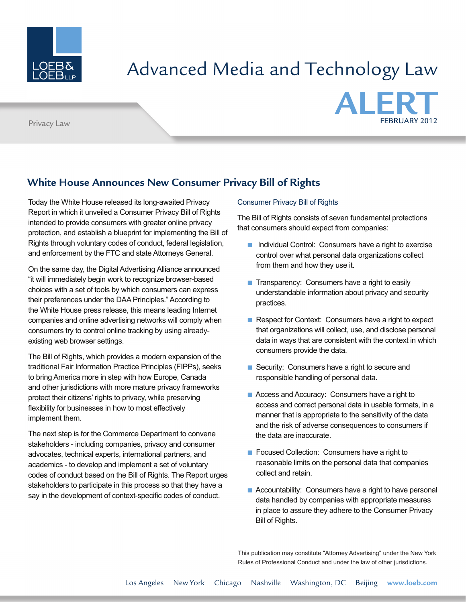

# Advanced Media and Technology Law



## **White House Announces New Consumer Privacy Bill of Rights**

Today the White House released its long-awaited Privacy Report in which it unveiled a Consumer Privacy Bill of Rights intended to provide consumers with greater online privacy protection, and establish a blueprint for implementing the Bill of Rights through voluntary codes of conduct, federal legislation, and enforcement by the FTC and state Attorneys General.

On the same day, the Digital Advertising Alliance announced "it will immediately begin work to recognize browser-based choices with a set of tools by which consumers can express their preferences under the DAA Principles." According to the White House press release, this means leading Internet companies and online advertising networks will comply when consumers try to control online tracking by using alreadyexisting web browser settings.

The Bill of Rights, which provides a modern expansion of the traditional Fair Information Practice Principles (FIPPs), seeks to bring America more in step with how Europe, Canada and other jurisdictions with more mature privacy frameworks protect their citizens' rights to privacy, while preserving flexibility for businesses in how to most effectively implement them.

The next step is for the Commerce Department to convene stakeholders - including companies, privacy and consumer advocates, technical experts, international partners, and academics - to develop and implement a set of voluntary codes of conduct based on the Bill of Rights. The Report urges stakeholders to participate in this process so that they have a say in the development of context-specific codes of conduct.

#### Consumer Privacy Bill of Rights

The Bill of Rights consists of seven fundamental protections that consumers should expect from companies:

- Individual Control: Consumers have a right to exercise control over what personal data organizations collect from them and how they use it.
- Transparency: Consumers have a right to easily understandable information about privacy and security practices.
- Respect for Context: Consumers have a right to expect that organizations will collect, use, and disclose personal data in ways that are consistent with the context in which consumers provide the data.
- Security: Consumers have a right to secure and responsible handling of personal data.
- Access and Accuracy: Consumers have a right to access and correct personal data in usable formats, in a manner that is appropriate to the sensitivity of the data and the risk of adverse consequences to consumers if the data are inaccurate.
- Focused Collection: Consumers have a right to reasonable limits on the personal data that companies collect and retain.
- $\blacksquare$  Accountability: Consumers have a right to have personal data handled by companies with appropriate measures in place to assure they adhere to the Consumer Privacy Bill of Rights.

This publication may constitute "Attorney Advertising" under the New York Rules of Professional Conduct and under the law of other jurisdictions.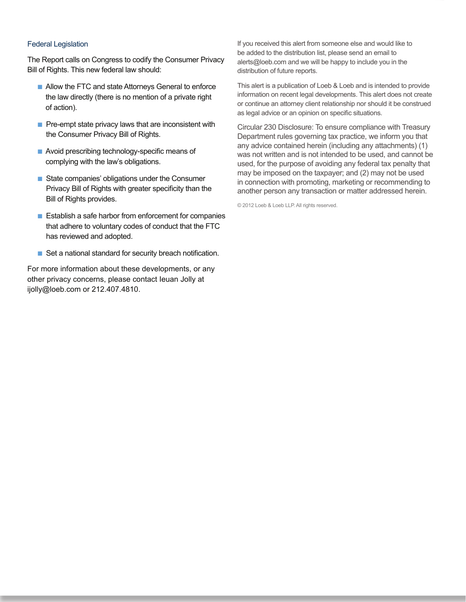#### Federal Legislation

The Report calls on Congress to codify the Consumer Privacy Bill of Rights. This new federal law should:

- Allow the FTC and state Attorneys General to enforce the law directly (there is no mention of a private right of action).
- $\blacksquare$  Pre-empt state privacy laws that are inconsistent with the Consumer Privacy Bill of Rights.
- Avoid prescribing technology-specific means of complying with the law's obligations.
- State companies' obligations under the Consumer Privacy Bill of Rights with greater specificity than the Bill of Rights provides.
- Establish a safe harbor from enforcement for companies that adhere to voluntary codes of conduct that the FTC has reviewed and adopted.
- Set a national standard for security breach notification.

For more information about these developments, or any other privacy concerns, please contact Ieuan Jolly at ijolly@loeb.com or 212.407.4810.

If you received this alert from someone else and would like to be added to the distribution list, please send an email to alerts@loeb.com and we will be happy to include you in the distribution of future reports.

This alert is a publication of Loeb & Loeb and is intended to provide information on recent legal developments. This alert does not create or continue an attorney client relationship nor should it be construed as legal advice or an opinion on specific situations.

Circular 230 Disclosure: To ensure compliance with Treasury Department rules governing tax practice, we inform you that any advice contained herein (including any attachments) (1) was not written and is not intended to be used, and cannot be used, for the purpose of avoiding any federal tax penalty that may be imposed on the taxpayer; and (2) may not be used in connection with promoting, marketing or recommending to another person any transaction or matter addressed herein.

© 2012 Loeb & Loeb LLP. All rights reserved.